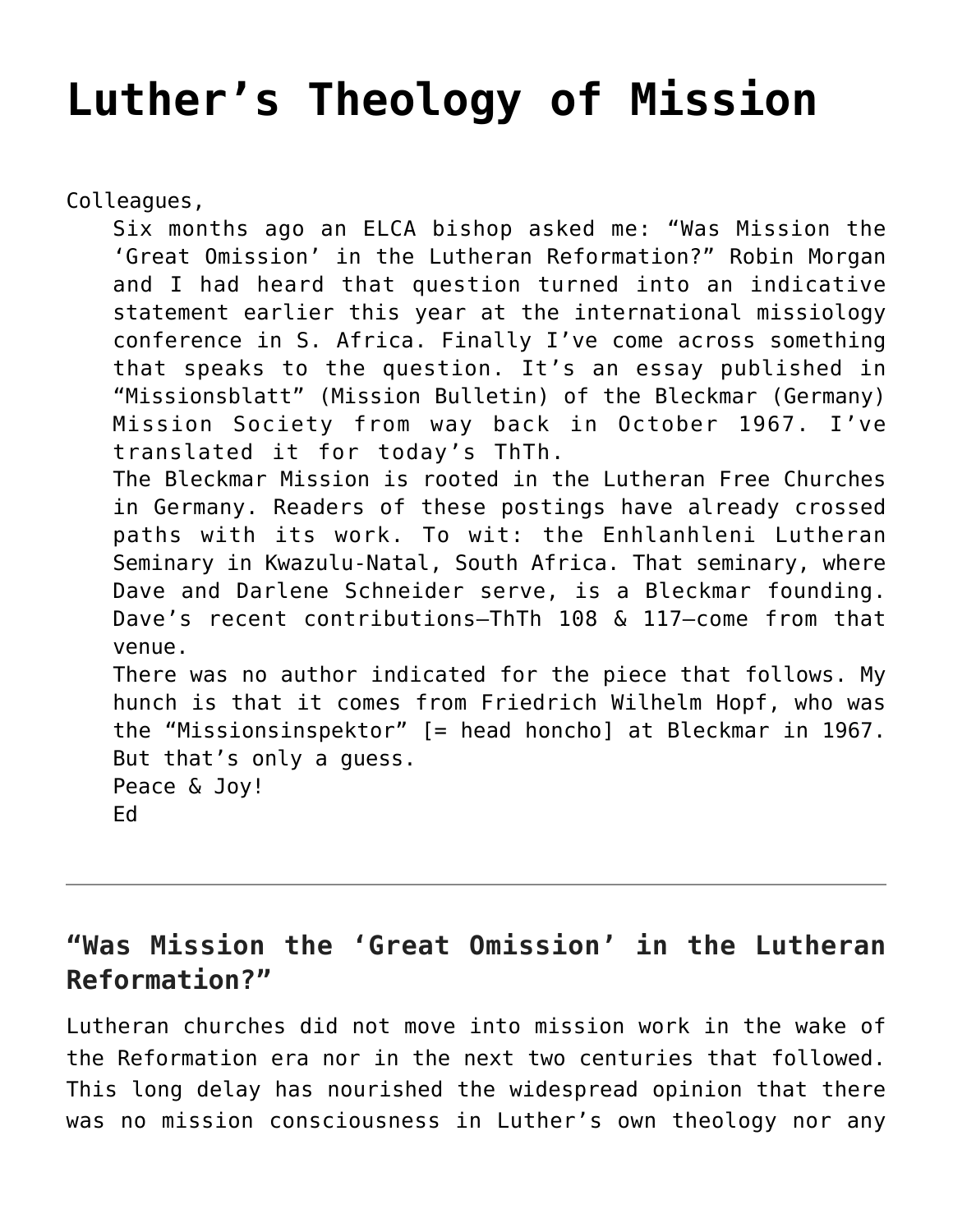## **[Luther's Theology of Mission](https://crossings.org/luthers-theology-of-mission/)**

Colleagues,

Six months ago an ELCA bishop asked me: "Was Mission the 'Great Omission' in the Lutheran Reformation?" Robin Morgan and I had heard that question turned into an indicative statement earlier this year at the international missiology conference in S. Africa. Finally I've come across something that speaks to the question. It's an essay published in "Missionsblatt" (Mission Bulletin) of the Bleckmar (Germany) Mission Society from way back in October 1967. I've translated it for today's ThTh.

The Bleckmar Mission is rooted in the Lutheran Free Churches in Germany. Readers of these postings have already crossed paths with its work. To wit: the Enhlanhleni Lutheran Seminary in Kwazulu-Natal, South Africa. That seminary, where Dave and Darlene Schneider serve, is a Bleckmar founding. Dave's recent contributions–ThTh 108 & 117–come from that venue.

There was no author indicated for the piece that follows. My hunch is that it comes from Friedrich Wilhelm Hopf, who was the "Missionsinspektor" [= head honcho] at Bleckmar in 1967. But that's only a guess. Peace & Joy!

Ed

**"Was Mission the 'Great Omission' in the Lutheran Reformation?"**

Lutheran churches did not move into mission work in the wake of the Reformation era nor in the next two centuries that followed. This long delay has nourished the widespread opinion that there was no mission consciousness in Luther's own theology nor any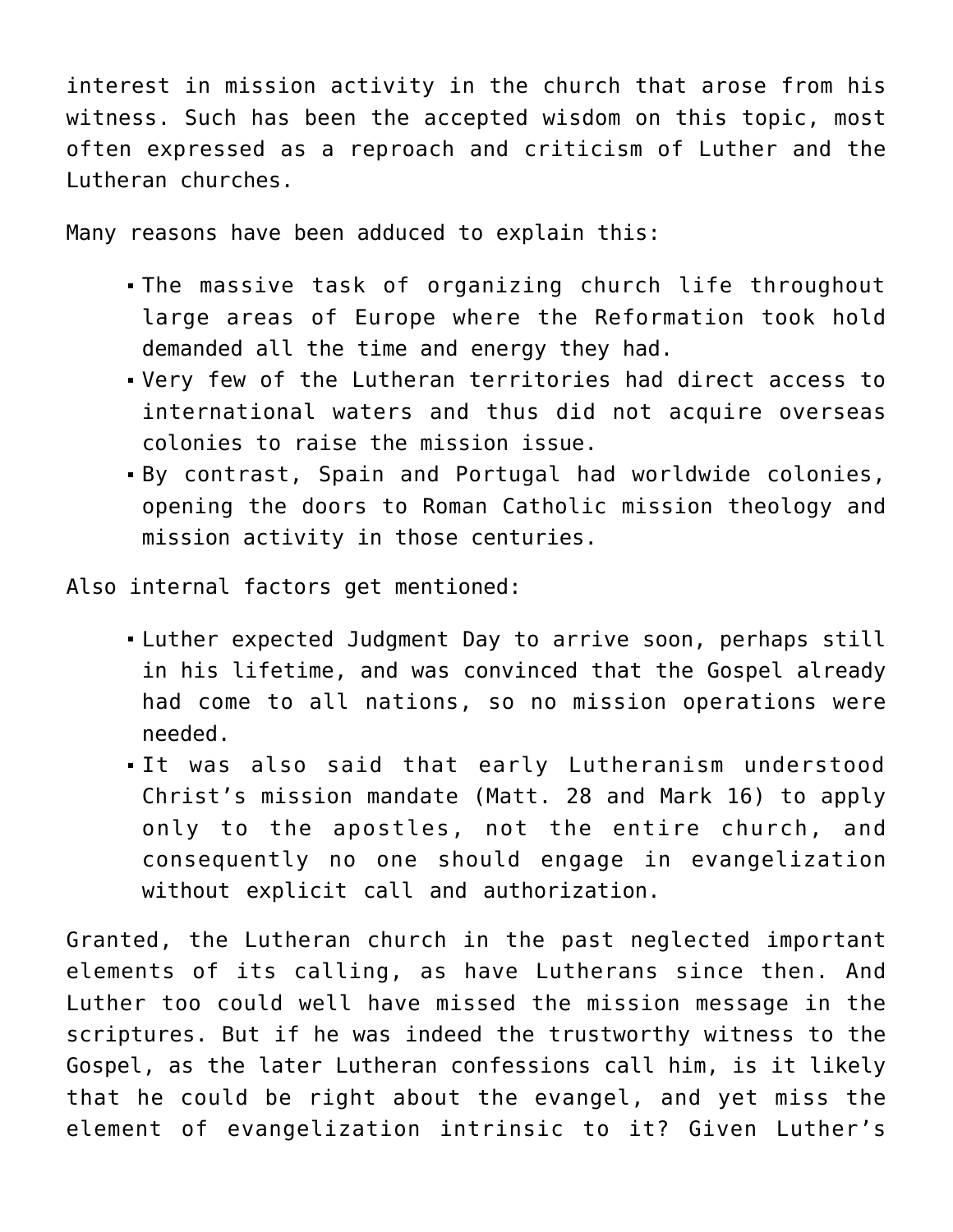interest in mission activity in the church that arose from his witness. Such has been the accepted wisdom on this topic, most often expressed as a reproach and criticism of Luther and the Lutheran churches.

Many reasons have been adduced to explain this:

- The massive task of organizing church life throughout large areas of Europe where the Reformation took hold demanded all the time and energy they had.
- Very few of the Lutheran territories had direct access to international waters and thus did not acquire overseas colonies to raise the mission issue.
- By contrast, Spain and Portugal had worldwide colonies, opening the doors to Roman Catholic mission theology and mission activity in those centuries.

Also internal factors get mentioned:

- Luther expected Judgment Day to arrive soon, perhaps still in his lifetime, and was convinced that the Gospel already had come to all nations, so no mission operations were needed.
- It was also said that early Lutheranism understood Christ's mission mandate (Matt. 28 and Mark 16) to apply only to the apostles, not the entire church, and consequently no one should engage in evangelization without explicit call and authorization.

Granted, the Lutheran church in the past neglected important elements of its calling, as have Lutherans since then. And Luther too could well have missed the mission message in the scriptures. But if he was indeed the trustworthy witness to the Gospel, as the later Lutheran confessions call him, is it likely that he could be right about the evangel, and yet miss the element of evangelization intrinsic to it? Given Luther's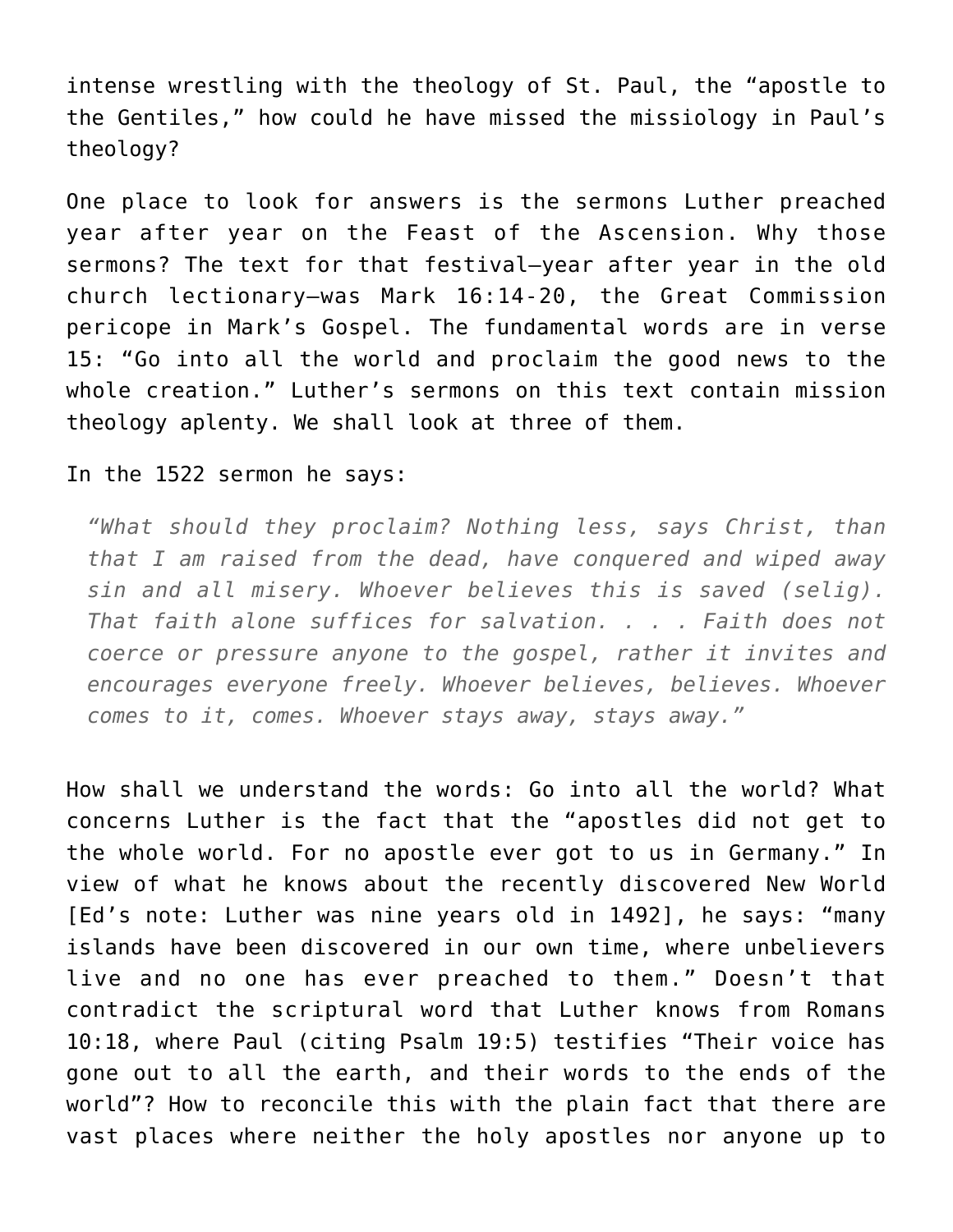intense wrestling with the theology of St. Paul, the "apostle to the Gentiles," how could he have missed the missiology in Paul's theology?

One place to look for answers is the sermons Luther preached year after year on the Feast of the Ascension. Why those sermons? The text for that festival–year after year in the old church lectionary–was Mark 16:14-20, the Great Commission pericope in Mark's Gospel. The fundamental words are in verse 15: "Go into all the world and proclaim the good news to the whole creation." Luther's sermons on this text contain mission theology aplenty. We shall look at three of them.

In the 1522 sermon he says:

*"What should they proclaim? Nothing less, says Christ, than that I am raised from the dead, have conquered and wiped away sin and all misery. Whoever believes this is saved (selig). That faith alone suffices for salvation. . . . Faith does not coerce or pressure anyone to the gospel, rather it invites and encourages everyone freely. Whoever believes, believes. Whoever comes to it, comes. Whoever stays away, stays away."*

How shall we understand the words: Go into all the world? What concerns Luther is the fact that the "apostles did not get to the whole world. For no apostle ever got to us in Germany." In view of what he knows about the recently discovered New World [Ed's note: Luther was nine years old in 1492], he says: "many islands have been discovered in our own time, where unbelievers live and no one has ever preached to them." Doesn't that contradict the scriptural word that Luther knows from Romans 10:18, where Paul (citing Psalm 19:5) testifies "Their voice has gone out to all the earth, and their words to the ends of the world"? How to reconcile this with the plain fact that there are vast places where neither the holy apostles nor anyone up to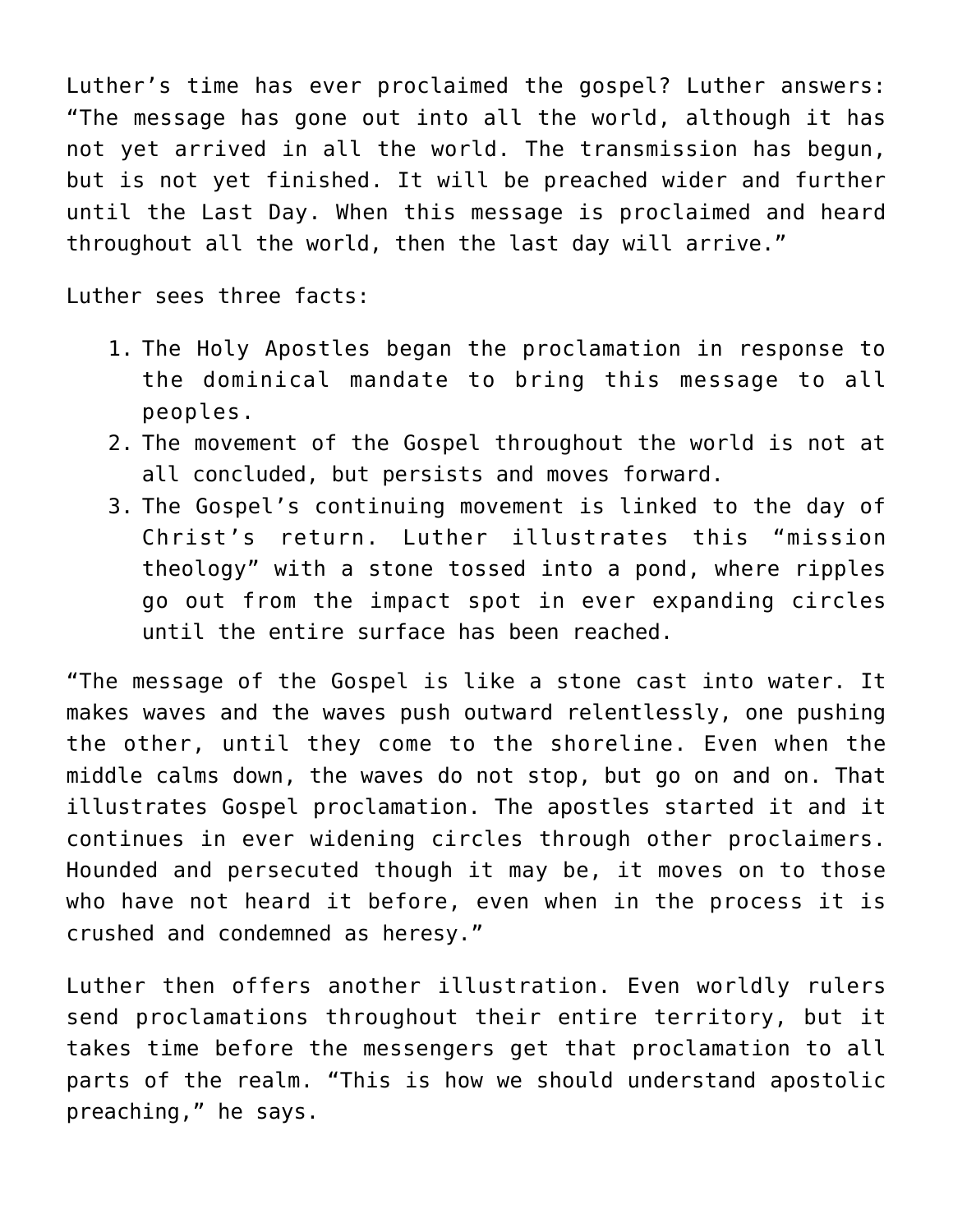Luther's time has ever proclaimed the gospel? Luther answers: "The message has gone out into all the world, although it has not yet arrived in all the world. The transmission has begun, but is not yet finished. It will be preached wider and further until the Last Day. When this message is proclaimed and heard throughout all the world, then the last day will arrive."

Luther sees three facts:

- 1. The Holy Apostles began the proclamation in response to the dominical mandate to bring this message to all peoples.
- 2. The movement of the Gospel throughout the world is not at all concluded, but persists and moves forward.
- 3. The Gospel's continuing movement is linked to the day of Christ's return. Luther illustrates this "mission theology" with a stone tossed into a pond, where ripples go out from the impact spot in ever expanding circles until the entire surface has been reached.

"The message of the Gospel is like a stone cast into water. It makes waves and the waves push outward relentlessly, one pushing the other, until they come to the shoreline. Even when the middle calms down, the waves do not stop, but go on and on. That illustrates Gospel proclamation. The apostles started it and it continues in ever widening circles through other proclaimers. Hounded and persecuted though it may be, it moves on to those who have not heard it before, even when in the process it is crushed and condemned as heresy."

Luther then offers another illustration. Even worldly rulers send proclamations throughout their entire territory, but it takes time before the messengers get that proclamation to all parts of the realm. "This is how we should understand apostolic preaching," he says.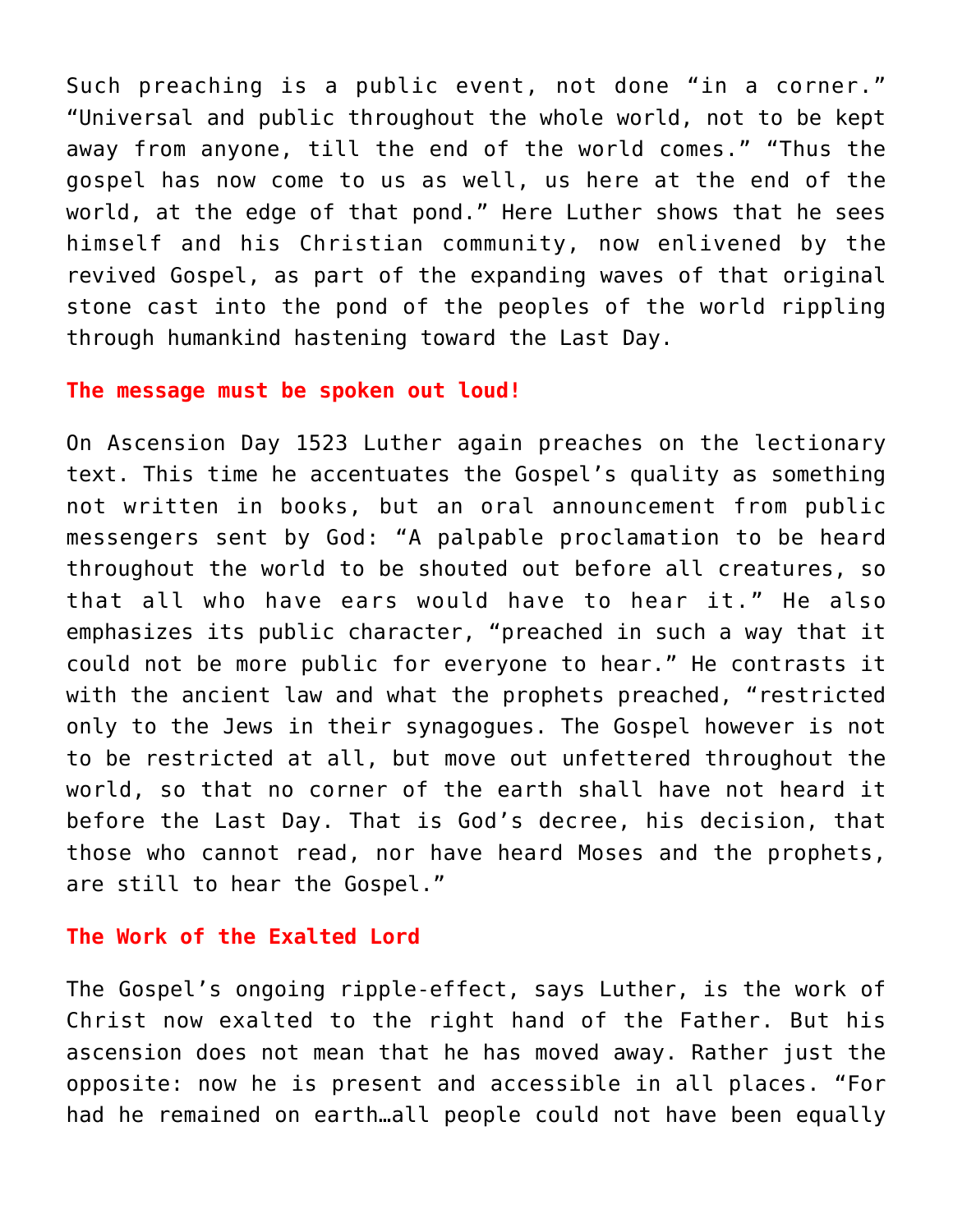Such preaching is a public event, not done "in a corner." "Universal and public throughout the whole world, not to be kept away from anyone, till the end of the world comes." "Thus the gospel has now come to us as well, us here at the end of the world, at the edge of that pond." Here Luther shows that he sees himself and his Christian community, now enlivened by the revived Gospel, as part of the expanding waves of that original stone cast into the pond of the peoples of the world rippling through humankind hastening toward the Last Day.

## **The message must be spoken out loud!**

On Ascension Day 1523 Luther again preaches on the lectionary text. This time he accentuates the Gospel's quality as something not written in books, but an oral announcement from public messengers sent by God: "A palpable proclamation to be heard throughout the world to be shouted out before all creatures, so that all who have ears would have to hear it." He also emphasizes its public character, "preached in such a way that it could not be more public for everyone to hear." He contrasts it with the ancient law and what the prophets preached, "restricted only to the Jews in their synagogues. The Gospel however is not to be restricted at all, but move out unfettered throughout the world, so that no corner of the earth shall have not heard it before the Last Day. That is God's decree, his decision, that those who cannot read, nor have heard Moses and the prophets, are still to hear the Gospel."

## **The Work of the Exalted Lord**

The Gospel's ongoing ripple-effect, says Luther, is the work of Christ now exalted to the right hand of the Father. But his ascension does not mean that he has moved away. Rather just the opposite: now he is present and accessible in all places. "For had he remained on earth…all people could not have been equally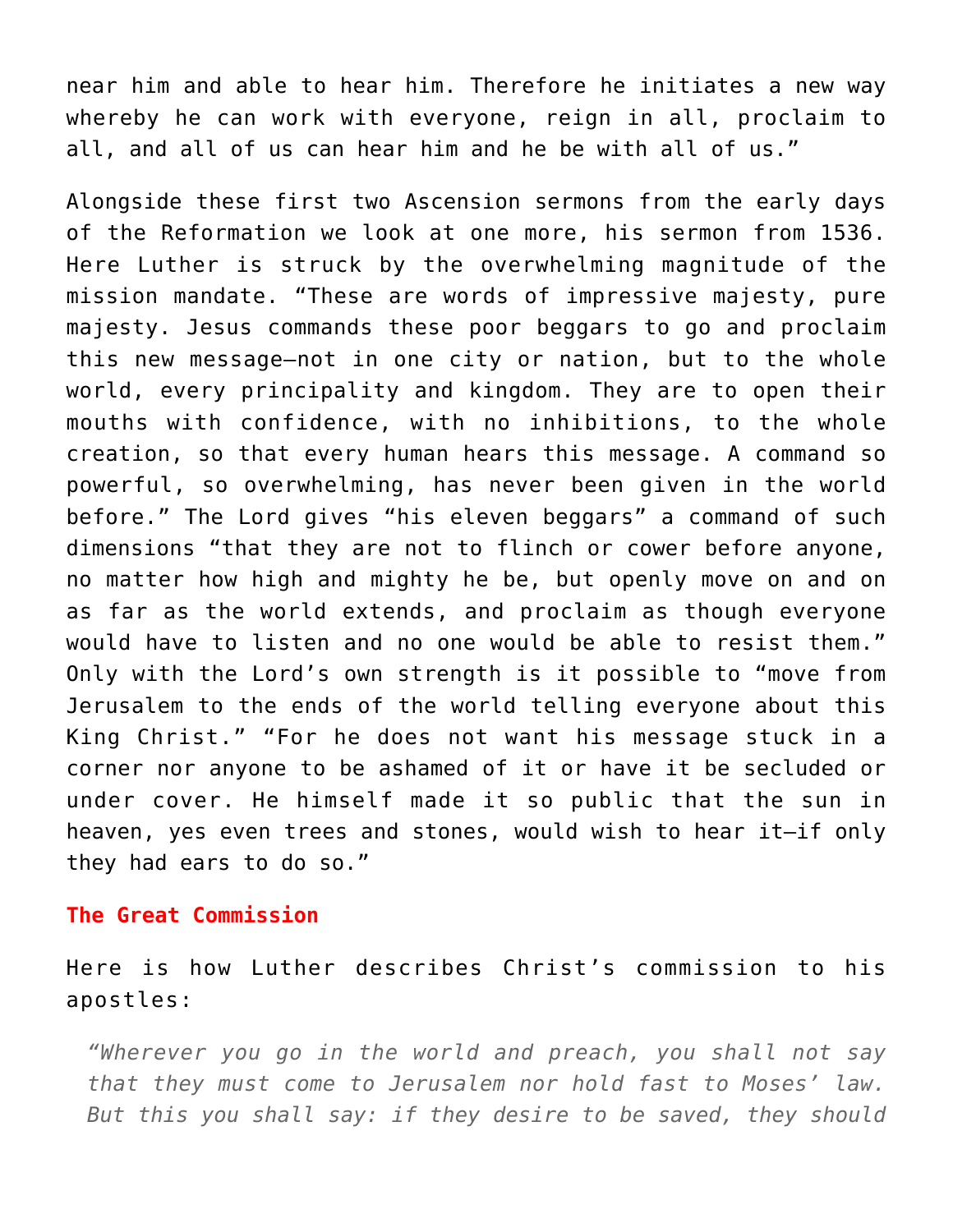near him and able to hear him. Therefore he initiates a new way whereby he can work with everyone, reign in all, proclaim to all, and all of us can hear him and he be with all of us."

Alongside these first two Ascension sermons from the early days of the Reformation we look at one more, his sermon from 1536. Here Luther is struck by the overwhelming magnitude of the mission mandate. "These are words of impressive majesty, pure majesty. Jesus commands these poor beggars to go and proclaim this new message–not in one city or nation, but to the whole world, every principality and kingdom. They are to open their mouths with confidence, with no inhibitions, to the whole creation, so that every human hears this message. A command so powerful, so overwhelming, has never been given in the world before." The Lord gives "his eleven beggars" a command of such dimensions "that they are not to flinch or cower before anyone, no matter how high and mighty he be, but openly move on and on as far as the world extends, and proclaim as though everyone would have to listen and no one would be able to resist them." Only with the Lord's own strength is it possible to "move from Jerusalem to the ends of the world telling everyone about this King Christ." "For he does not want his message stuck in a corner nor anyone to be ashamed of it or have it be secluded or under cover. He himself made it so public that the sun in heaven, yes even trees and stones, would wish to hear it–if only they had ears to do so."

## **The Great Commission**

Here is how Luther describes Christ's commission to his apostles:

*"Wherever you go in the world and preach, you shall not say that they must come to Jerusalem nor hold fast to Moses' law. But this you shall say: if they desire to be saved, they should*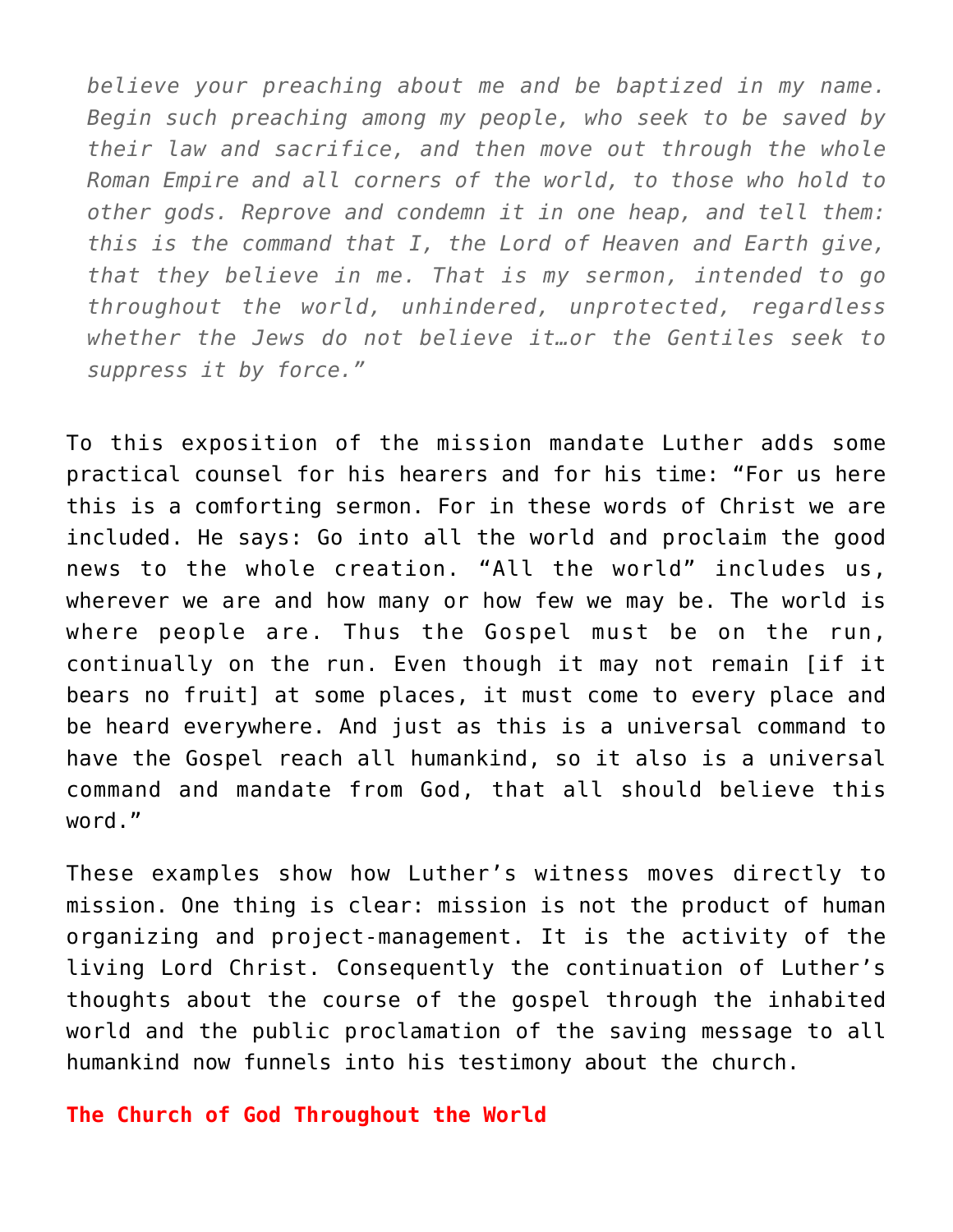*believe your preaching about me and be baptized in my name. Begin such preaching among my people, who seek to be saved by their law and sacrifice, and then move out through the whole Roman Empire and all corners of the world, to those who hold to other gods. Reprove and condemn it in one heap, and tell them: this is the command that I, the Lord of Heaven and Earth give, that they believe in me. That is my sermon, intended to go throughout the world, unhindered, unprotected, regardless whether the Jews do not believe it…or the Gentiles seek to suppress it by force."*

To this exposition of the mission mandate Luther adds some practical counsel for his hearers and for his time: "For us here this is a comforting sermon. For in these words of Christ we are included. He says: Go into all the world and proclaim the good news to the whole creation. "All the world" includes us, wherever we are and how many or how few we may be. The world is where people are. Thus the Gospel must be on the run, continually on the run. Even though it may not remain [if it bears no fruit] at some places, it must come to every place and be heard everywhere. And just as this is a universal command to have the Gospel reach all humankind, so it also is a universal command and mandate from God, that all should believe this word."

These examples show how Luther's witness moves directly to mission. One thing is clear: mission is not the product of human organizing and project-management. It is the activity of the living Lord Christ. Consequently the continuation of Luther's thoughts about the course of the gospel through the inhabited world and the public proclamation of the saving message to all humankind now funnels into his testimony about the church.

**The Church of God Throughout the World**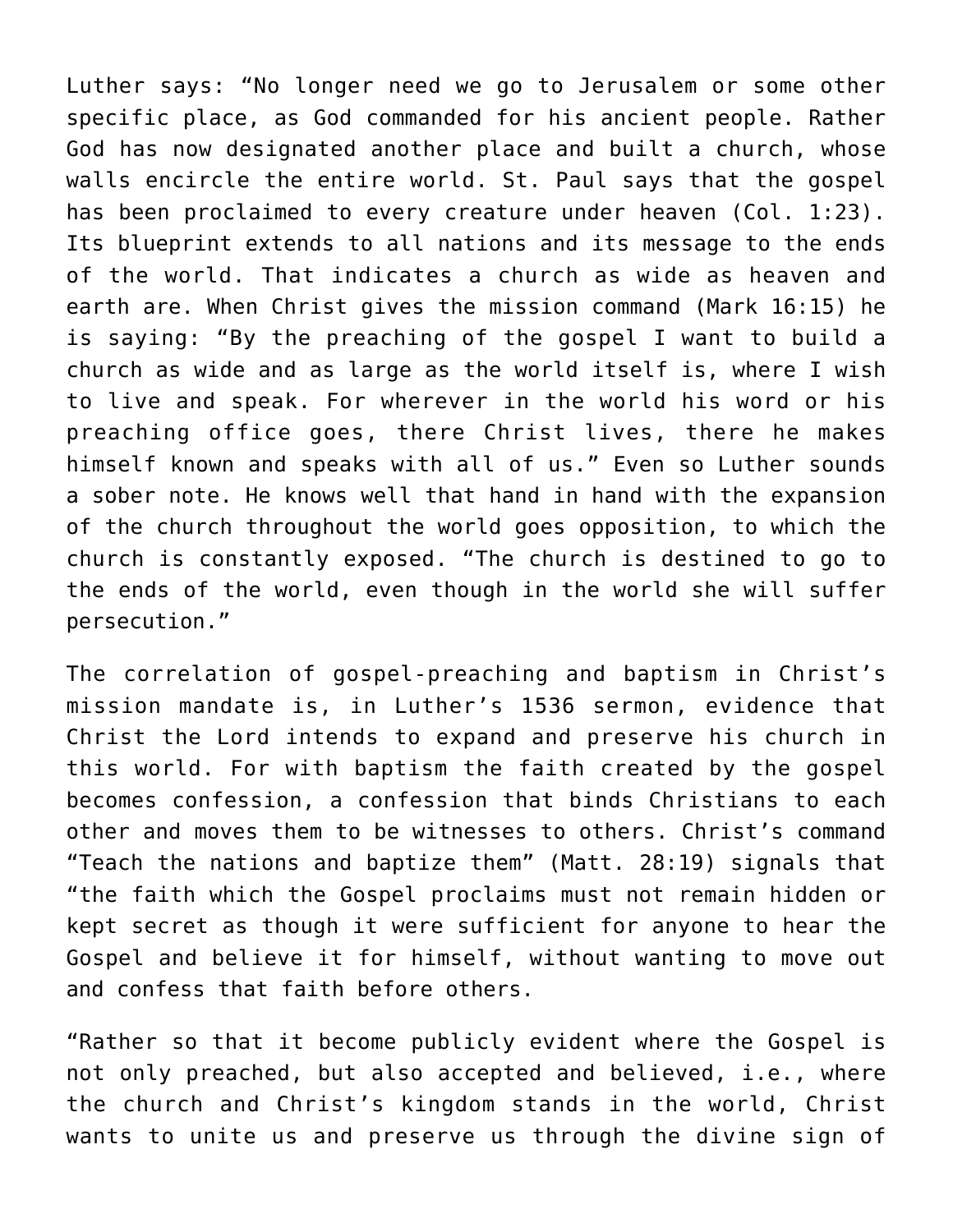Luther says: "No longer need we go to Jerusalem or some other specific place, as God commanded for his ancient people. Rather God has now designated another place and built a church, whose walls encircle the entire world. St. Paul says that the gospel has been proclaimed to every creature under heaven (Col. 1:23). Its blueprint extends to all nations and its message to the ends of the world. That indicates a church as wide as heaven and earth are. When Christ gives the mission command (Mark 16:15) he is saying: "By the preaching of the gospel I want to build a church as wide and as large as the world itself is, where I wish to live and speak. For wherever in the world his word or his preaching office goes, there Christ lives, there he makes himself known and speaks with all of us." Even so Luther sounds a sober note. He knows well that hand in hand with the expansion of the church throughout the world goes opposition, to which the church is constantly exposed. "The church is destined to go to the ends of the world, even though in the world she will suffer persecution."

The correlation of gospel-preaching and baptism in Christ's mission mandate is, in Luther's 1536 sermon, evidence that Christ the Lord intends to expand and preserve his church in this world. For with baptism the faith created by the gospel becomes confession, a confession that binds Christians to each other and moves them to be witnesses to others. Christ's command "Teach the nations and baptize them" (Matt. 28:19) signals that "the faith which the Gospel proclaims must not remain hidden or kept secret as though it were sufficient for anyone to hear the Gospel and believe it for himself, without wanting to move out and confess that faith before others.

"Rather so that it become publicly evident where the Gospel is not only preached, but also accepted and believed, i.e., where the church and Christ's kingdom stands in the world, Christ wants to unite us and preserve us through the divine sign of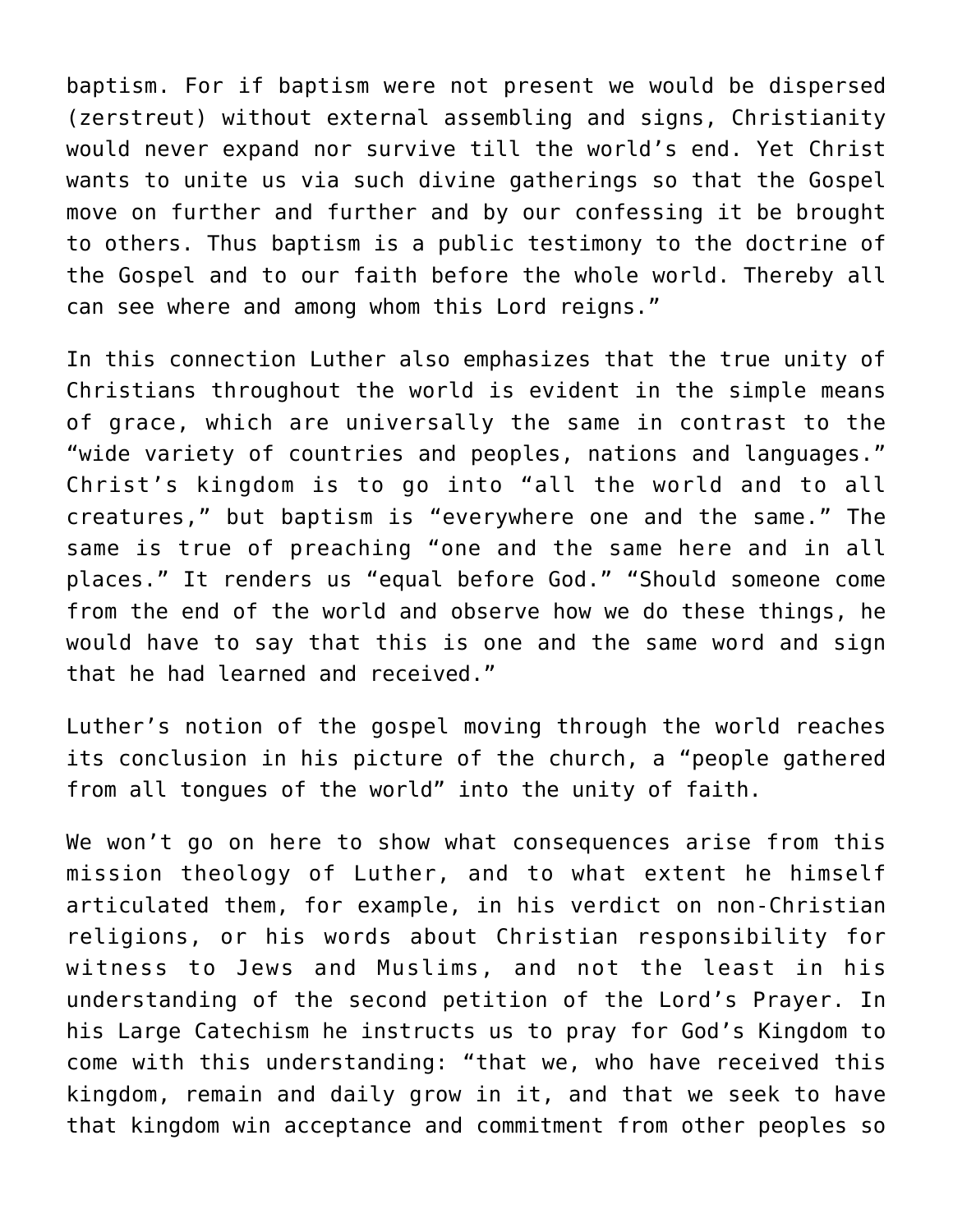baptism. For if baptism were not present we would be dispersed (zerstreut) without external assembling and signs, Christianity would never expand nor survive till the world's end. Yet Christ wants to unite us via such divine gatherings so that the Gospel move on further and further and by our confessing it be brought to others. Thus baptism is a public testimony to the doctrine of the Gospel and to our faith before the whole world. Thereby all can see where and among whom this Lord reigns."

In this connection Luther also emphasizes that the true unity of Christians throughout the world is evident in the simple means of grace, which are universally the same in contrast to the "wide variety of countries and peoples, nations and languages." Christ's kingdom is to go into "all the world and to all creatures," but baptism is "everywhere one and the same." The same is true of preaching "one and the same here and in all places." It renders us "equal before God." "Should someone come from the end of the world and observe how we do these things, he would have to say that this is one and the same word and sign that he had learned and received."

Luther's notion of the gospel moving through the world reaches its conclusion in his picture of the church, a "people gathered from all tongues of the world" into the unity of faith.

We won't go on here to show what consequences arise from this mission theology of Luther, and to what extent he himself articulated them, for example, in his verdict on non-Christian religions, or his words about Christian responsibility for witness to Jews and Muslims, and not the least in his understanding of the second petition of the Lord's Prayer. In his Large Catechism he instructs us to pray for God's Kingdom to come with this understanding: "that we, who have received this kingdom, remain and daily grow in it, and that we seek to have that kingdom win acceptance and commitment from other peoples so